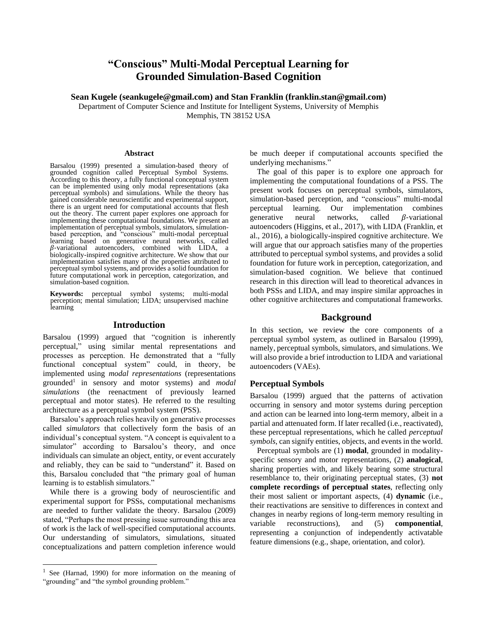# **"Conscious" Multi-Modal Perceptual Learning for Grounded Simulation-Based Cognition**

**Sean Kugele (seankugele@gmail.com) and Stan Franklin (franklin.stan@gmail.com)**

Department of Computer Science and Institute for Intelligent Systems, University of Memphis Memphis, TN 38152 USA

#### **Abstract**

Barsalou (1999) presented a simulation-based theory of grounded cognition called Perceptual Symbol Systems. According to this theory, a fully functional conceptual system can be implemented using only modal representations (aka perceptual symbols) and simulations. While the theory has gained considerable neuroscientific and experimental support, there is an urgent need for computational accounts that flesh out the theory. The current paper explores one approach for implementing these computational foundations. We present an implementation of perceptual symbols, simulators, simulationbased perception, and "conscious" multi-modal perceptual learning based on generative neural networks, called  $\beta$ -variational autoencoders, combined with LIDA, a biologically-inspired cognitive architecture. We show that our implementation satisfies many of the properties attributed to perceptual symbol systems, and provides a solid foundation for future computational work in perception, categorization, and simulation-based cognition.

**Keywords:** perceptual symbol systems; multi-modal perception; mental simulation; LIDA; unsupervised machine learning

#### **Introduction**

Barsalou (1999) argued that "cognition is inherently perceptual," using similar mental representations and processes as perception. He demonstrated that a "fully functional conceptual system" could, in theory, be implemented using *modal representations* (representations grounded<sup>1</sup> in sensory and motor systems) and *modal simulations* (the reenactment of previously learned perceptual and motor states). He referred to the resulting architecture as a perceptual symbol system (PSS).

Barsalou's approach relies heavily on generative processes called *simulators* that collectively form the basis of an individual's conceptual system. "A concept is equivalent to a simulator" according to Barsalou's theory, and once individuals can simulate an object, entity, or event accurately and reliably, they can be said to "understand" it. Based on this, Barsalou concluded that "the primary goal of human learning is to establish simulators."

While there is a growing body of neuroscientific and experimental support for PSSs, computational mechanisms are needed to further validate the theory. Barsalou (2009) stated, "Perhaps the most pressing issue surrounding this area of work is the lack of well-specified computational accounts. Our understanding of simulators, simulations, situated conceptualizations and pattern completion inference would be much deeper if computational accounts specified the underlying mechanisms."

The goal of this paper is to explore one approach for implementing the computational foundations of a PSS. The present work focuses on perceptual symbols, simulators, simulation-based perception, and "conscious" multi-modal perceptual learning. Our implementation combines generative neural networks, called  $\beta$ -variational autoencoders (Higgins, et al., 2017), with LIDA (Franklin, et al., 2016), a biologically-inspired cognitive architecture. We will argue that our approach satisfies many of the properties attributed to perceptual symbol systems, and provides a solid foundation for future work in perception, categorization, and simulation-based cognition. We believe that continued research in this direction will lead to theoretical advances in both PSSs and LIDA, and may inspire similar approaches in other cognitive architectures and computational frameworks.

### **Background**

In this section, we review the core components of a perceptual symbol system, as outlined in Barsalou (1999), namely, perceptual symbols, simulators, and simulations. We will also provide a brief introduction to LIDA and variational autoencoders (VAEs).

#### **Perceptual Symbols**

Barsalou (1999) argued that the patterns of activation occurring in sensory and motor systems during perception and action can be learned into long-term memory, albeit in a partial and attenuated form. If later recalled (i.e., reactivated), these perceptual representations, which he called *perceptual symbols*, can signify entities, objects, and events in the world.

Perceptual symbols are (1) **modal**, grounded in modalityspecific sensory and motor representations, (2) **analogical**, sharing properties with, and likely bearing some structural resemblance to, their originating perceptual states, (3) **not complete recordings of perceptual states**, reflecting only their most salient or important aspects, (4) **dynamic** (i.e., their reactivations are sensitive to differences in context and changes in nearby regions of long-term memory resulting in variable reconstructions), and (5) **componential**, representing a conjunction of independently activatable feature dimensions (e.g., shape, orientation, and color).

<sup>&</sup>lt;sup>1</sup> See (Harnad, 1990) for more information on the meaning of "grounding" and "the symbol grounding problem."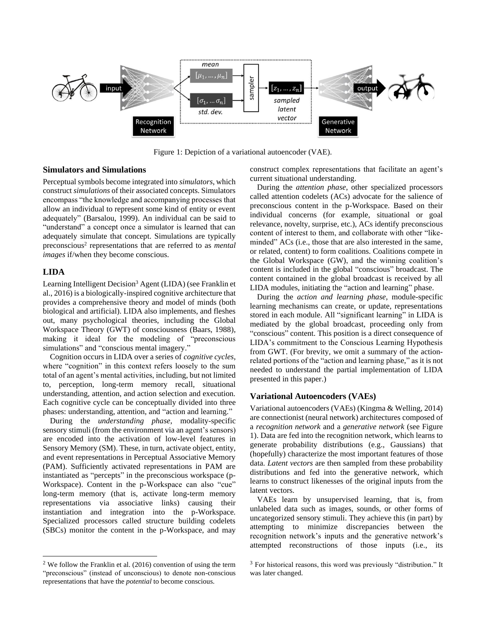

Figure 1: Depiction of a variational autoencoder (VAE).

### **Simulators and Simulations**

Perceptual symbols become integrated into *simulators*, which construct *simulations* of their associated concepts. Simulators encompass "the knowledge and accompanying processes that allow an individual to represent some kind of entity or event adequately" (Barsalou, 1999). An individual can be said to "understand" a concept once a simulator is learned that can adequately simulate that concept. Simulations are typically preconscious<sup>2</sup> representations that are referred to as *mental images* if/when they become conscious.

#### **LIDA**

Learning Intelligent Decision<sup>3</sup> Agent (LIDA) (see Franklin et al., 2016) is a biologically-inspired cognitive architecture that provides a comprehensive theory and model of minds (both biological and artificial). LIDA also implements, and fleshes out, many psychological theories, including the Global Workspace Theory (GWT) of consciousness (Baars, 1988), making it ideal for the modeling of "preconscious simulations" and "conscious mental imagery."

Cognition occurs in LIDA over a series of *cognitive cycles*, where "cognition" in this context refers loosely to the sum total of an agent's mental activities, including, but not limited to, perception, long-term memory recall, situational understanding, attention, and action selection and execution. Each cognitive cycle can be conceptually divided into three phases: understanding, attention, and "action and learning."

During the *understanding phase*, modality-specific sensory stimuli (from the environment via an agent's sensors) are encoded into the activation of low-level features in Sensory Memory (SM). These, in turn, activate object, entity, and event representations in Perceptual Associative Memory (PAM). Sufficiently activated representations in PAM are instantiated as "percepts" in the preconscious workspace (p-Workspace). Content in the p-Workspace can also "cue" long-term memory (that is, activate long-term memory representations via associative links) causing their instantiation and integration into the p-Workspace. Specialized processors called structure building codelets (SBCs) monitor the content in the p-Workspace, and may construct complex representations that facilitate an agent's current situational understanding.

During the *attention phase*, other specialized processors called attention codelets (ACs) advocate for the salience of preconscious content in the p-Workspace. Based on their individual concerns (for example, situational or goal relevance, novelty, surprise, etc.), ACs identify preconscious content of interest to them, and collaborate with other "likeminded" ACs (i.e., those that are also interested in the same, or related, content) to form coalitions. Coalitions compete in the Global Workspace (GW), and the winning coalition's content is included in the global "conscious" broadcast. The content contained in the global broadcast is received by all LIDA modules, initiating the "action and learning" phase.

During the *action and learning phase*, module-specific learning mechanisms can create, or update, representations stored in each module. All "significant learning" in LIDA is mediated by the global broadcast, proceeding only from "conscious" content. This position is a direct consequence of LIDA's commitment to the Conscious Learning Hypothesis from GWT. (For brevity, we omit a summary of the actionrelated portions of the "action and learning phase," as it is not needed to understand the partial implementation of LIDA presented in this paper.)

### **Variational Autoencoders (VAEs)**

Variational autoencoders (VAEs) (Kingma & Welling, 2014) are connectionist (neural network) architectures composed of a *recognition network* and a *generative network* (see Figure 1). Data are fed into the recognition network, which learns to generate probability distributions (e.g., Gaussians) that (hopefully) characterize the most important features of those data. *Latent vectors* are then sampled from these probability distributions and fed into the generative network, which learns to construct likenesses of the original inputs from the latent vectors.

VAEs learn by unsupervised learning, that is, from unlabeled data such as images, sounds, or other forms of uncategorized sensory stimuli. They achieve this (in part) by attempting to minimize discrepancies between the recognition network's inputs and the generative network's attempted reconstructions of those inputs (i.e., its

 $2$  We follow the Franklin et al. (2016) convention of using the term "preconscious" (instead of unconscious) to denote non-conscious representations that have the *potential* to become conscious.

 $3$  For historical reasons, this word was previously "distribution." It was later changed.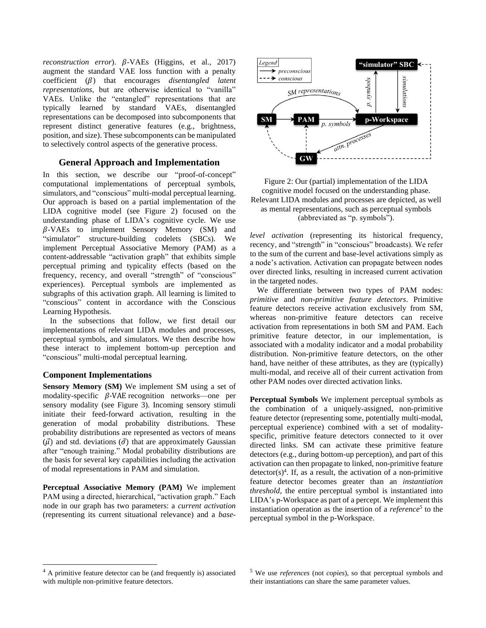*reconstruction error*).  $\beta$ -VAEs (Higgins, et al., 2017) augment the standard VAE loss function with a penalty coefficient  $(\beta)$  that encourages *disentangled latent representations*, but are otherwise identical to "vanilla" VAEs. Unlike the "entangled" representations that are typically learned by standard VAEs, disentangled representations can be decomposed into subcomponents that represent distinct generative features (e.g., brightness, position, and size). These subcomponents can be manipulated to selectively control aspects of the generative process.

## **General Approach and Implementation**

In this section, we describe our "proof-of-concept" computational implementations of perceptual symbols, simulators, and "conscious" multi-modal perceptual learning. Our approach is based on a partial implementation of the LIDA cognitive model (see Figure 2) focused on the understanding phase of LIDA's cognitive cycle. We use  $\beta$ -VAEs to implement Sensory Memory (SM) and "simulator" structure-building codelets (SBCs). We implement Perceptual Associative Memory (PAM) as a content-addressable "activation graph" that exhibits simple perceptual priming and typicality effects (based on the frequency, recency, and overall "strength" of "conscious" experiences). Perceptual symbols are implemented as subgraphs of this activation graph. All learning is limited to "conscious" content in accordance with the Conscious Learning Hypothesis.

In the subsections that follow, we first detail our implementations of relevant LIDA modules and processes, perceptual symbols, and simulators. We then describe how these interact to implement bottom-up perception and "conscious" multi-modal perceptual learning.

## **Component Implementations**

**Sensory Memory (SM)** We implement SM using a set of modality-specific  $\beta$ -VAE recognition networks—one per sensory modality (see Figure 3). Incoming sensory stimuli initiate their feed-forward activation, resulting in the generation of modal probability distributions. These probability distributions are represented as vectors of means  $(\vec{\mu})$  and std. deviations  $(\vec{\sigma})$  that are approximately Gaussian after "enough training." Modal probability distributions are the basis for several key capabilities including the activation of modal representations in PAM and simulation.

**Perceptual Associative Memory (PAM)** We implement PAM using a directed, hierarchical, "activation graph." Each node in our graph has two parameters: a *current activation* (representing its current situational relevance) and a *base-*



Figure 2: Our (partial) implementation of the LIDA cognitive model focused on the understanding phase. Relevant LIDA modules and processes are depicted, as well as mental representations, such as perceptual symbols (abbreviated as "p. symbols").

*level activation* (representing its historical frequency, recency, and "strength" in "conscious" broadcasts). We refer to the sum of the current and base-level activations simply as a node's activation. Activation can propagate between nodes over directed links, resulting in increased current activation in the targeted nodes.

We differentiate between two types of PAM nodes: *primitive* and *non-primitive feature detectors*. Primitive feature detectors receive activation exclusively from SM, whereas non-primitive feature detectors can receive activation from representations in both SM and PAM. Each primitive feature detector, in our implementation, is associated with a modality indicator and a modal probability distribution. Non-primitive feature detectors, on the other hand, have neither of these attributes, as they are (typically) multi-modal, and receive all of their current activation from other PAM nodes over directed activation links.

**Perceptual Symbols** We implement perceptual symbols as the combination of a uniquely-assigned, non-primitive feature detector (representing some, potentially multi-modal, perceptual experience) combined with a set of modalityspecific, primitive feature detectors connected to it over directed links. SM can activate these primitive feature detectors (e.g., during bottom-up perception), and part of this activation can then propagate to linked, non-primitive feature  $detector(s)<sup>4</sup>$ . If, as a result, the activation of a non-primitive feature detector becomes greater than an *instantiation threshold*, the entire perceptual symbol is instantiated into LIDA's p-Workspace as part of a percept. We implement this instantiation operation as the insertion of a *reference<sup>5</sup>* to the perceptual symbol in the p-Workspace.

<sup>4</sup> A primitive feature detector can be (and frequently is) associated with multiple non-primitive feature detectors.

<sup>5</sup> We use *references* (not *copies*), so that perceptual symbols and their instantiations can share the same parameter values.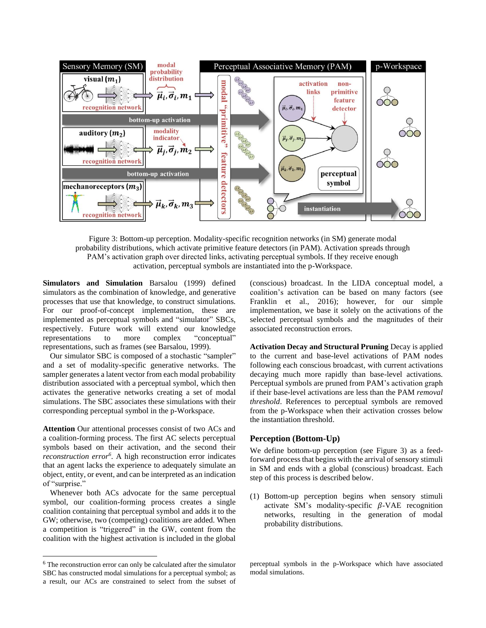

Figure 3: Bottom-up perception. Modality-specific recognition networks (in SM) generate modal probability distributions, which activate primitive feature detectors (in PAM). Activation spreads through PAM's activation graph over directed links, activating perceptual symbols. If they receive enough activation, perceptual symbols are instantiated into the p-Workspace.

**Simulators and Simulation** Barsalou (1999) defined simulators as the combination of knowledge, and generative processes that use that knowledge, to construct simulations. For our proof-of-concept implementation, these are implemented as perceptual symbols and "simulator" SBCs, respectively. Future work will extend our knowledge representations to more complex "conceptual" representations, such as frames (see Barsalou, 1999).

Our simulator SBC is composed of a stochastic "sampler" and a set of modality-specific generative networks. The sampler generates a latent vector from each modal probability distribution associated with a perceptual symbol, which then activates the generative networks creating a set of modal simulations. The SBC associates these simulations with their corresponding perceptual symbol in the p-Workspace.

**Attention** Our attentional processes consist of two ACs and a coalition-forming process. The first AC selects perceptual symbols based on their activation, and the second their *reconstruction error<sup>6</sup>* . A high reconstruction error indicates that an agent lacks the experience to adequately simulate an object, entity, or event, and can be interpreted as an indication of "surprise."

Whenever both ACs advocate for the same perceptual symbol, our coalition-forming process creates a single coalition containing that perceptual symbol and adds it to the GW; otherwise, two (competing) coalitions are added. When a competition is "triggered" in the GW, content from the coalition with the highest activation is included in the global (conscious) broadcast. In the LIDA conceptual model, a coalition's activation can be based on many factors (see Franklin et al., 2016); however, for our simple implementation, we base it solely on the activations of the selected perceptual symbols and the magnitudes of their associated reconstruction errors.

**Activation Decay and Structural Pruning** Decay is applied to the current and base-level activations of PAM nodes following each conscious broadcast, with current activations decaying much more rapidly than base-level activations. Perceptual symbols are pruned from PAM's activation graph if their base-level activations are less than the PAM *removal threshold*. References to perceptual symbols are removed from the p-Workspace when their activation crosses below the instantiation threshold.

### **Perception (Bottom-Up)**

We define bottom-up perception (see Figure 3) as a feedforward process that begins with the arrival of sensory stimuli in SM and ends with a global (conscious) broadcast. Each step of this process is described below.

(1) Bottom-up perception begins when sensory stimuli activate SM's modality-specific  $\beta$ -VAE recognition networks, resulting in the generation of modal probability distributions.

<sup>6</sup> The reconstruction error can only be calculated after the simulator SBC has constructed modal simulations for a perceptual symbol; as a result, our ACs are constrained to select from the subset of

perceptual symbols in the p-Workspace which have associated modal simulations.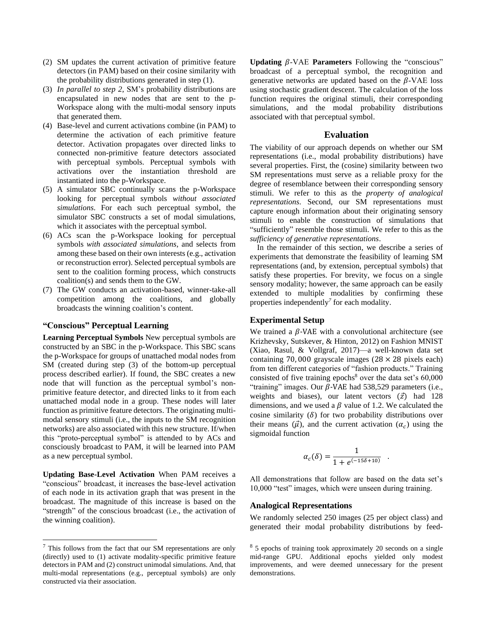- (2) SM updates the current activation of primitive feature detectors (in PAM) based on their cosine similarity with the probability distributions generated in step (1).
- (3) *In parallel to step 2*, SM's probability distributions are encapsulated in new nodes that are sent to the p-Workspace along with the multi-modal sensory inputs that generated them.
- (4) Base-level and current activations combine (in PAM) to determine the activation of each primitive feature detector. Activation propagates over directed links to connected non-primitive feature detectors associated with perceptual symbols. Perceptual symbols with activations over the instantiation threshold are instantiated into the p-Workspace.
- (5) A simulator SBC continually scans the p-Workspace looking for perceptual symbols *without associated simulations*. For each such perceptual symbol, the simulator SBC constructs a set of modal simulations, which it associates with the perceptual symbol.
- (6) ACs scan the p-Workspace looking for perceptual symbols *with associated simulations*, and selects from among these based on their own interests (e.g., activation or reconstruction error). Selected perceptual symbols are sent to the coalition forming process, which constructs coalition(s) and sends them to the GW.
- (7) The GW conducts an activation-based, winner-take-all competition among the coalitions, and globally broadcasts the winning coalition's content.

### **"Conscious" Perceptual Learning**

**Learning Perceptual Symbols** New perceptual symbols are constructed by an SBC in the p-Workspace. This SBC scans the p-Workspace for groups of unattached modal nodes from SM (created during step (3) of the bottom-up perceptual process described earlier). If found, the SBC creates a new node that will function as the perceptual symbol's nonprimitive feature detector, and directed links to it from each unattached modal node in a group. These nodes will later function as primitive feature detectors. The originating multimodal sensory stimuli (i.e., the inputs to the SM recognition networks) are also associated with this new structure. If/when this "proto-perceptual symbol" is attended to by ACs and consciously broadcast to PAM, it will be learned into PAM as a new perceptual symbol.

**Updating Base-Level Activation** When PAM receives a "conscious" broadcast, it increases the base-level activation of each node in its activation graph that was present in the broadcast. The magnitude of this increase is based on the "strength" of the conscious broadcast (i.e., the activation of the winning coalition).

Updating  $\beta$ -VAE **Parameters** Following the "conscious" broadcast of a perceptual symbol, the recognition and generative networks are updated based on the  $\beta$ -VAE loss using stochastic gradient descent. The calculation of the loss function requires the original stimuli, their corresponding simulations, and the modal probability distributions associated with that perceptual symbol.

# **Evaluation**

The viability of our approach depends on whether our SM representations (i.e., modal probability distributions) have several properties. First, the (cosine) similarity between two SM representations must serve as a reliable proxy for the degree of resemblance between their corresponding sensory stimuli. We refer to this as the *property of analogical representations*. Second, our SM representations must capture enough information about their originating sensory stimuli to enable the construction of simulations that "sufficiently" resemble those stimuli. We refer to this as the *sufficiency of generative representations*.

In the remainder of this section, we describe a series of experiments that demonstrate the feasibility of learning SM representations (and, by extension, perceptual symbols) that satisfy these properties. For brevity, we focus on a single sensory modality; however, the same approach can be easily extended to multiple modalities by confirming these properties independently*<sup>7</sup>* for each modality.

#### **Experimental Setup**

We trained a  $\beta$ -VAE with a convolutional architecture (see Krizhevsky, Sutskever, & Hinton, 2012) on Fashion MNIST (Xiao, Rasul, & Vollgraf, 2017)—a well-known data set containing 70,000 grayscale images  $(28 \times 28)$  pixels each) from ten different categories of "fashion products." Training consisted of five training epochs<sup>8</sup> over the data set's 60,000 "training" images. Our  $\beta$ -VAE had 538,529 parameters (i.e., weights and biases), our latent vectors  $(\vec{z})$  had 128 dimensions, and we used a  $\beta$  value of 1.2. We calculated the cosine similarity  $(\delta)$  for two probability distributions over their means  $(\vec{\mu})$ , and the current activation  $(\alpha_c)$  using the sigmoidal function

$$
\alpha_c(\delta) = \frac{1}{1 + e^{(-15\delta + 10)}}.
$$

All demonstrations that follow are based on the data set's 10,000 "test" images, which were unseen during training.

#### **Analogical Representations**

We randomly selected 250 images (25 per object class) and generated their modal probability distributions by feed-

<sup>7</sup> This follows from the fact that our SM representations are only (directly) used to (1) activate modality-specific primitive feature detectors in PAM and (2) construct unimodal simulations. And, that multi-modal representations (e.g., perceptual symbols) are only constructed via their association.

<sup>8</sup> 5 epochs of training took approximately 20 seconds on a single mid-range GPU. Additional epochs yielded only modest improvements, and were deemed unnecessary for the present demonstrations.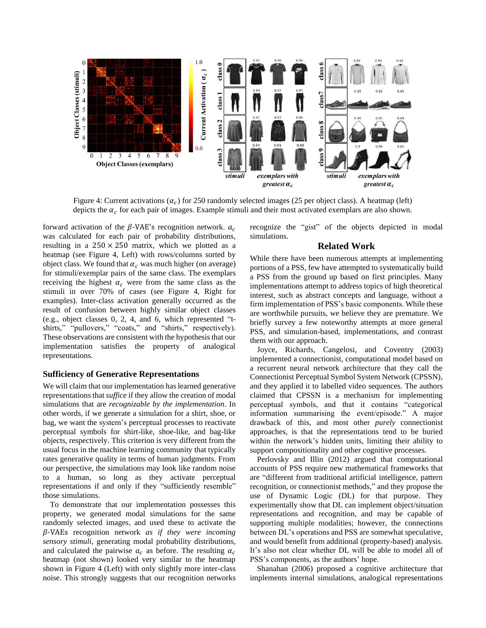

Figure 4: Current activations  $(\alpha_c)$  for 250 randomly selected images (25 per object class). A heatmap (left) depicts the  $\alpha_c$  for each pair of images. Example stimuli and their most activated exemplars are also shown.

forward activation of the  $\beta$ -VAE's recognition network.  $a_c$ was calculated for each pair of probability distributions, resulting in a  $250 \times 250$  matrix, which we plotted as a heatmap (see Figure 4, Left) with rows/columns sorted by object class. We found that  $\alpha_c$  was much higher (on average) for stimuli/exemplar pairs of the same class. The exemplars receiving the highest  $\alpha_c$  were from the same class as the stimuli in over 70% of cases (see Figure 4, Right for examples). Inter-class activation generally occurred as the result of confusion between highly similar object classes (e.g., object classes 0, 2, 4, and 6, which represented "tshirts," "pullovers," "coats," and "shirts," respectively). These observations are consistent with the hypothesis that our implementation satisfies the property of analogical representations.

### **Sufficiency of Generative Representations**

We will claim that our implementation has learned generative representations that *suffice* if they allow the creation of modal simulations that are *recognizable by the implementation*. In other words, if we generate a simulation for a shirt, shoe, or bag, we want the system's perceptual processes to reactivate perceptual symbols for shirt-like, shoe-like, and bag-like objects, respectively. This criterion is very different from the usual focus in the machine learning community that typically rates generative quality in terms of human judgments. From our perspective, the simulations may look like random noise to a human, so long as they activate perceptual representations if and only if they "sufficiently resemble" those simulations.

To demonstrate that our implementation possesses this property, we generated modal simulations for the same randomly selected images, and used these to activate the -VAEs recognition network *as if they were incoming sensory stimuli*, generating modal probability distributions, and calculated the pairwise  $a_c$  as before. The resulting  $\alpha_c$ heatmap (not shown) looked very similar to the heatmap shown in Figure 4 (Left) with only slightly more inter-class noise. This strongly suggests that our recognition networks recognize the "gist" of the objects depicted in modal simulations.

# **Related Work**

While there have been numerous attempts at implementing portions of a PSS, few have attempted to systematically build a PSS from the ground up based on first principles. Many implementations attempt to address topics of high theoretical interest, such as abstract concepts and language, without a firm implementation of PSS's basic components. While these are worthwhile pursuits, we believe they are premature. We briefly survey a few noteworthy attempts at more general PSS, and simulation-based, implementations, and contrast them with our approach.

Joyce, Richards, Cangelosi, and Coventry (2003) implemented a connectionist, computational model based on a recurrent neural network architecture that they call the Connectionist Perceptual Symbol System Network (CPSSN), and they applied it to labelled video sequences. The authors claimed that CPSSN is a mechanism for implementing perceptual symbols, and that it contains "categorical information summarising the event/episode." A major drawback of this, and most other *purely* connectionist approaches, is that the representations tend to be buried within the network's hidden units, limiting their ability to support compositionality and other cognitive processes.

Perlovsky and Illin (2012) argued that computational accounts of PSS require new mathematical frameworks that are "different from traditional artificial intelligence, pattern recognition, or connectionist methods," and they propose the use of Dynamic Logic (DL) for that purpose. They experimentally show that DL can implement object/situation representations and recognition, and may be capable of supporting multiple modalities; however, the connections between DL's operations and PSS are somewhat speculative, and would benefit from additional (property-based) analysis. It's also not clear whether DL will be able to model all of PSS's components, as the authors' hope.

Shanahan (2006) proposed a cognitive architecture that implements internal simulations, analogical representations